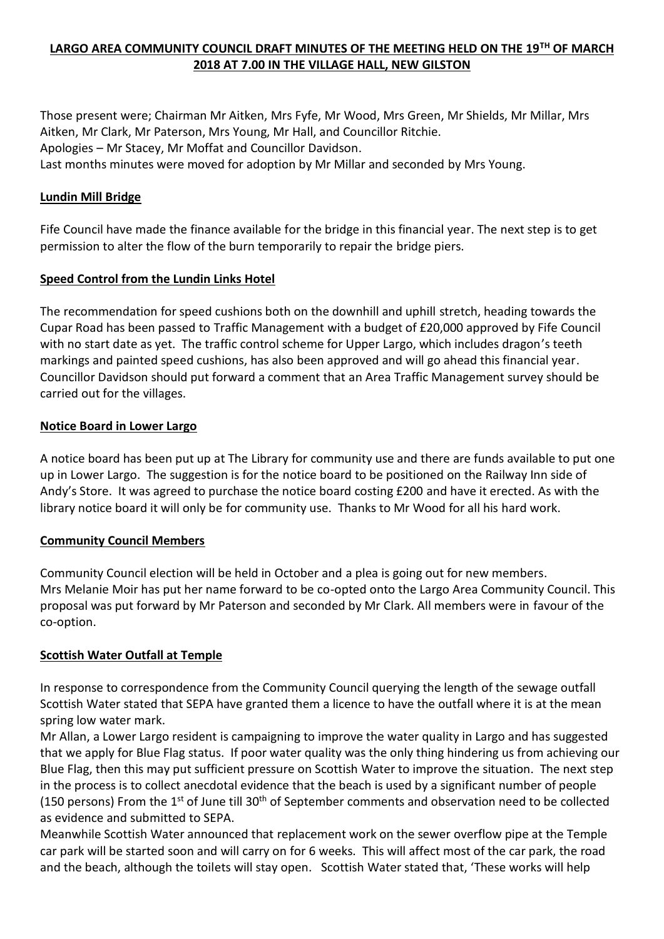## **LARGO AREA COMMUNITY COUNCIL DRAFT MINUTES OF THE MEETING HELD ON THE 19TH OF MARCH 2018 AT 7.00 IN THE VILLAGE HALL, NEW GILSTON**

Those present were; Chairman Mr Aitken, Mrs Fyfe, Mr Wood, Mrs Green, Mr Shields, Mr Millar, Mrs Aitken, Mr Clark, Mr Paterson, Mrs Young, Mr Hall, and Councillor Ritchie. Apologies – Mr Stacey, Mr Moffat and Councillor Davidson. Last months minutes were moved for adoption by Mr Millar and seconded by Mrs Young.

#### **Lundin Mill Bridge**

Fife Council have made the finance available for the bridge in this financial year. The next step is to get permission to alter the flow of the burn temporarily to repair the bridge piers.

#### **Speed Control from the Lundin Links Hotel**

The recommendation for speed cushions both on the downhill and uphill stretch, heading towards the Cupar Road has been passed to Traffic Management with a budget of £20,000 approved by Fife Council with no start date as yet. The traffic control scheme for Upper Largo, which includes dragon's teeth markings and painted speed cushions, has also been approved and will go ahead this financial year. Councillor Davidson should put forward a comment that an Area Traffic Management survey should be carried out for the villages.

#### **Notice Board in Lower Largo**

A notice board has been put up at The Library for community use and there are funds available to put one up in Lower Largo. The suggestion is for the notice board to be positioned on the Railway Inn side of Andy's Store. It was agreed to purchase the notice board costing £200 and have it erected. As with the library notice board it will only be for community use. Thanks to Mr Wood for all his hard work.

#### **Community Council Members**

Community Council election will be held in October and a plea is going out for new members. Mrs Melanie Moir has put her name forward to be co-opted onto the Largo Area Community Council. This proposal was put forward by Mr Paterson and seconded by Mr Clark. All members were in favour of the co-option.

#### **Scottish Water Outfall at Temple**

In response to correspondence from the Community Council querying the length of the sewage outfall Scottish Water stated that SEPA have granted them a licence to have the outfall where it is at the mean spring low water mark.

Mr Allan, a Lower Largo resident is campaigning to improve the water quality in Largo and has suggested that we apply for Blue Flag status. If poor water quality was the only thing hindering us from achieving our Blue Flag, then this may put sufficient pressure on Scottish Water to improve the situation. The next step in the process is to collect anecdotal evidence that the beach is used by a significant number of people (150 persons) From the 1<sup>st</sup> of June till 30<sup>th</sup> of September comments and observation need to be collected as evidence and submitted to SEPA.

Meanwhile Scottish Water announced that replacement work on the sewer overflow pipe at the Temple car park will be started soon and will carry on for 6 weeks. This will affect most of the car park, the road and the beach, although the toilets will stay open. Scottish Water stated that, 'These works will help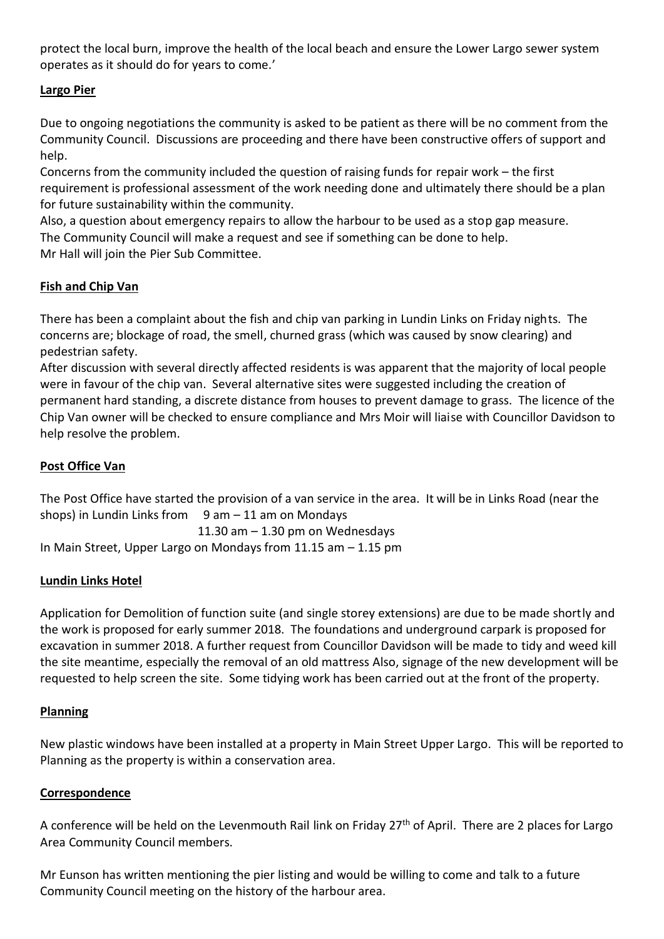protect the local burn, improve the health of the local beach and ensure the Lower Largo sewer system operates as it should do for years to come.'

## **Largo Pier**

Due to ongoing negotiations the community is asked to be patient as there will be no comment from the Community Council. Discussions are proceeding and there have been constructive offers of support and help.

Concerns from the community included the question of raising funds for repair work – the first requirement is professional assessment of the work needing done and ultimately there should be a plan for future sustainability within the community.

Also, a question about emergency repairs to allow the harbour to be used as a stop gap measure. The Community Council will make a request and see if something can be done to help. Mr Hall will join the Pier Sub Committee.

## **Fish and Chip Van**

There has been a complaint about the fish and chip van parking in Lundin Links on Friday nights. The concerns are; blockage of road, the smell, churned grass (which was caused by snow clearing) and pedestrian safety.

After discussion with several directly affected residents is was apparent that the majority of local people were in favour of the chip van. Several alternative sites were suggested including the creation of permanent hard standing, a discrete distance from houses to prevent damage to grass. The licence of the Chip Van owner will be checked to ensure compliance and Mrs Moir will liaise with Councillor Davidson to help resolve the problem.

# **Post Office Van**

The Post Office have started the provision of a van service in the area. It will be in Links Road (near the shops) in Lundin Links from  $9$  am  $-11$  am on Mondays

11.30 am  $-$  1.30 pm on Wednesdays In Main Street, Upper Largo on Mondays from 11.15 am – 1.15 pm

## **Lundin Links Hotel**

Application for Demolition of function suite (and single storey extensions) are due to be made shortly and the work is proposed for early summer 2018. The foundations and underground carpark is proposed for excavation in summer 2018. A further request from Councillor Davidson will be made to tidy and weed kill the site meantime, especially the removal of an old mattress Also, signage of the new development will be requested to help screen the site. Some tidying work has been carried out at the front of the property.

## **Planning**

New plastic windows have been installed at a property in Main Street Upper Largo. This will be reported to Planning as the property is within a conservation area.

#### **Correspondence**

A conference will be held on the Levenmouth Rail link on Friday 27<sup>th</sup> of April. There are 2 places for Largo Area Community Council members.

Mr Eunson has written mentioning the pier listing and would be willing to come and talk to a future Community Council meeting on the history of the harbour area.